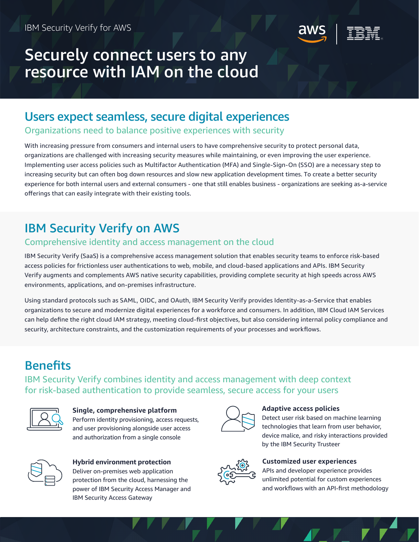

# Securely connect users to any resource with IAM on the cloud

## Users expect seamless, secure digital experiences

Organizations need to balance positive experiences with security

With increasing pressure from consumers and internal users to have comprehensive security to protect personal data, organizations are challenged with increasing security measures while maintaining, or even improving the user experience. Implementing user access policies such as Multifactor Authentication (MFA) and Single-Sign-On (SSO) are a necessary step to increasing security but can often bog down resources and slow new application development times. To create a better security experience for both internal users and external consumers - one that still enables business - organizations are seeking as-a-service offerings that can easily integrate with their existing tools.

# IBM Security Verify on AWS

## Comprehensive identity and access management on the cloud

IBM Security Verify (SaaS) is a comprehensive access management solution that enables security teams to enforce risk-based access policies for frictionless user authentications to web, mobile, and cloud-based applications and APIs. IBM Security Verify augments and complements AWS native security capabilities, providing complete security at high speeds across AWS environments, applications, and on-premises infrastructure.

Using standard protocols such as SAML, OIDC, and OAuth, IBM Security Verify provides Identity-as-a-Service that enables organizations to secure and modernize digital experiences for a workforce and consumers. In addition, IBM Cloud IAM Services can help define the right cloud IAM strategy, meeting cloud-first objectives, but also considering internal policy compliance and security, architecture constraints, and the customization requirements of your processes and workflows.

# **Benefits**

IBM Security Verify combines identity and access management with deep context for risk-based authentication to provide seamless, secure access for your users



**Single, comprehensive platform** Perform identity provisioning, access requests, and user provisioning alongside user access and authorization from a single console



**Hybrid environment protection** Deliver on-premises web application protection from the cloud, harnessing the power of IBM Security Access Manager and IBM Security Access Gateway



## **Adaptive access policies**

Detect user risk based on machine learning technologies that learn from user behavior, device malice, and risky interactions provided by the IBM Security Trusteer



## **Customized user experiences**

APIs and developer experience provides unlimited potential for custom experiences and workflows with an API-first methodology